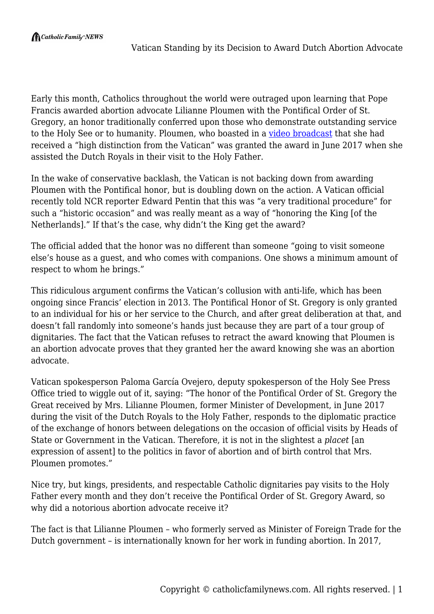Early this month, Catholics throughout the world were outraged upon learning that Pope Francis awarded abortion advocate Lilianne Ploumen with the Pontifical Order of St. Gregory, an honor traditionally conferred upon those who demonstrate outstanding service to the Holy See or to humanity. Ploumen, who boasted in a [video broadcast](https://www.bnr.nl/podcast/deprijsvan2017/10336508/lilianne-ploumen) that she had received a "high distinction from the Vatican" was granted the award in June 2017 when she assisted the Dutch Royals in their visit to the Holy Father.

In the wake of conservative backlash, the Vatican is not backing down from awarding Ploumen with the Pontifical honor, but is doubling down on the action. A Vatican official recently told NCR reporter Edward Pentin that this was "a very traditional procedure" for such a "historic occasion" and was really meant as a way of "honoring the King [of the Netherlands]." If that's the case, why didn't the King get the award?

The official added that the honor was no different than someone "going to visit someone else's house as a guest, and who comes with companions. One shows a minimum amount of respect to whom he brings."

This ridiculous argument confirms the Vatican's collusion with anti-life, which has been ongoing since Francis' election in 2013. The Pontifical Honor of St. Gregory is only granted to an individual for his or her service to the Church, and after great deliberation at that, and doesn't fall randomly into someone's hands just because they are part of a tour group of dignitaries. The fact that the Vatican refuses to retract the award knowing that Ploumen is an abortion advocate proves that they granted her the award knowing she was an abortion advocate.

Vatican spokesperson Paloma García Ovejero, deputy spokesperson of the Holy See Press Office tried to wiggle out of it, saying: "The honor of the Pontifical Order of St. Gregory the Great received by Mrs. Lilianne Ploumen, former Minister of Development, in June 2017 during the visit of the Dutch Royals to the Holy Father, responds to the diplomatic practice of the exchange of honors between delegations on the occasion of official visits by Heads of State or Government in the Vatican. Therefore, it is not in the slightest a *placet* [an expression of assent] to the politics in favor of abortion and of birth control that Mrs. Ploumen promotes."

Nice try, but kings, presidents, and respectable Catholic dignitaries pay visits to the Holy Father every month and they don't receive the Pontifical Order of St. Gregory Award, so why did a notorious abortion advocate receive it?

The fact is that Lilianne Ploumen – who formerly served as Minister of Foreign Trade for the Dutch government – is internationally known for her work in funding abortion. In 2017,